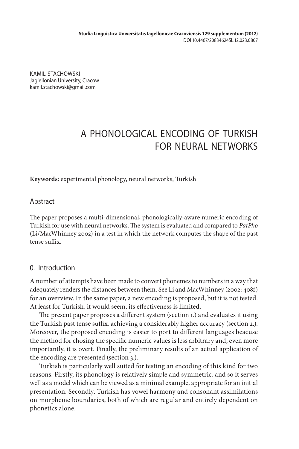KAMIL STACHOWSKI Jagiellonian University, Cracow kamil.stachowski@gmail.com

# A PHONOLOGICAL ENCODING OF TURKISH FOR NEURAL NETWORKS

**Keywords:** experimental phonology, neural networks, Turkish

## **Abstract**

The paper proposes a multi-dimensional, phonologically-aware numeric encoding of Turkish for use with neural networks. The system is evaluated and compared to *PatPho* (Li/MacWhinney 2002) in a test in which the network computes the shape of the past tense suffix.

## 0. Introduction

A number of attempts have been made to convert phonemes to numbers in a way that adequately renders the distances between them. See Li and MacWhinney (2002: 408f) for an overview. In the same paper, a new encoding is proposed, but it is not tested. At least for Turkish, it would seem, its effectiveness is limited.

The present paper proposes a different system (section 1.) and evaluates it using the Turkish past tense suffix, achieving a considerably higher accuracy (section 2.). Moreover, the proposed encoding is easier to port to different languages beacuse the method for chosing the specific numeric values is less arbitrary and, even more importantly, it is overt. Finally, the preliminary results of an actual application of the encoding are presented (section 3.).

Turkish is particularly well suited for testing an encoding of this kind for two reasons. Firstly, its phonology is relatively simple and symmetric, and so it serves well as a model which can be viewed as a minimal example, appropriate for an initial presentation. Secondly, Turkish has vowel harmony and consonant assimilations on morpheme boundaries, both of which are regular and entirely dependent on phonetics alone.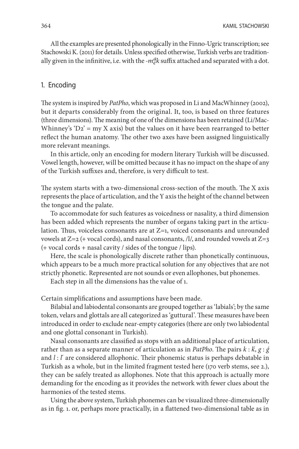All the examples are presented phonologically in the Finno-Ugric transcription; see Stachowski K. (2011) for details. Unless specified otherwise, Turkish verbs are traditionally given in the infinitive, i.e. with the *-m* $_{e}^{a}k$  suffix attached and separated with a dot.

### 1. Encoding

The system is inspired by *PatPho*, which was proposed in Li and MacWhinney (2002), but it departs considerably from the original. It, too, is based on three features (three dimensions). The meaning of one of the dimensions has been retained (Li/Mac-Whinney's 'D2' = my X axis) but the values on it have been rearranged to better reflect the human anatomy. The other two axes have been assigned linguistically more relevant meanings.

In this article, only an encoding for modern literary Turkish will be discussed. Vowel length, however, will be omitted because it has no impact on the shape of any of the Turkish suffixes and, therefore, is very difficult to test.

The system starts with a two-dimensional cross-section of the mouth. The X axis represents the place of articulation, and the Y axis the height of the channel between the tongue and the palate.

To accommodate for such features as voicedness or nasality, a third dimension has been added which represents the number of organs taking part in the articulation. Thus, voiceless consonants are at  $Z=1$ , voiced consonants and unrounded vowels at  $Z=2$  (+ vocal cords), and nasal consonants, /l/, and rounded vowels at  $Z=3$ (+ vocal cords + nasal cavity / sides of the tongue / lips).

Here, the scale is phonologically discrete rather than phonetically continuous, which appears to be a much more practical solution for any objectives that are not strictly phonetic. Represented are not sounds or even allophones, but phonemes.

Each step in all the dimensions has the value of 1.

Certain simplifications and assumptions have been made.

Bilabial and labiodental consonants are grouped together as 'labials'; by the same token, velars and glottals are all categorized as 'guttural'. These measures have been introduced in order to exclude near-empty categories (there are only two labiodental and one glottal consonant in Turkish).

Nasal consonants are classified as stops with an additional place of articulation, rather than as a separate manner of articulation as in *PatPho*. The pairs *k* : *ḱ*, *g* : *ǵ* and  $l$  :  $l'$  are considered allophonic. Their phonemic status is perhaps debatable in Turkish as a whole, but in the limited fragment tested here (170 verb stems, see 2.), they can be safely treated as allophones. Note that this approach is actually more demanding for the encoding as it provides the network with fewer clues about the harmonies of the tested stems.

Using the above system, Turkish phonemes can be visualized three-dimensionally as in fig. 1. or, perhaps more practically, in a flattened two-dimensional table as in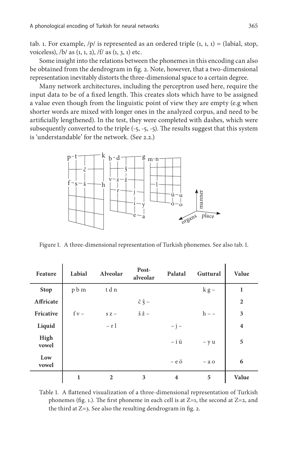tab. 1. For example,  $/p/$  is represented as an ordered triple  $(1, 1, 1) =$  (labial, stop, voiceless),  $/b/$  as  $(1, 1, 2)$ ,  $/f/$  as  $(1, 3, 1)$  etc.

Some insight into the relations between the phonemes in this encoding can also be obtained from the dendrogram in fig. 2. Note, however, that a two-dimensional representation inevitably distorts the three-dimensional space to a certain degree.

Many network architectures, including the perceptron used here, require the input data to be of a fixed length. This creates slots which have to be assigned a value even though from the linguistic point of view they are empty (e.g when shorter words are mixed with longer ones in the analyzed corpus, and need to be artificially lengthened). In the test, they were completed with dashes, which were subsequently converted to the triple (-5, -5, -5). The results suggest that this system is 'understandable' for the network. (See 2.2.)



Figure 1. A three-dimensional representation of Turkish phonemes. See also tab. 1.

| Feature       | Labial  | Alveolar     | Post-<br>alveolar                         | Palatal                 | Guttural       | Value                   |
|---------------|---------|--------------|-------------------------------------------|-------------------------|----------------|-------------------------|
| <b>Stop</b>   | p b m   | tdn          |                                           |                         | $k g -$        | $\mathbf{1}$            |
| Affricate     |         |              | $\check{c} \check{\check{z}}$ –           |                         |                | $\overline{2}$          |
| Fricative     | $f v -$ | $SZ -$       | $\check{\mathbf{S}} \check{\mathbf{Z}}$ – |                         | $h - -$        | 3                       |
| Liquid        |         | $- r 1$      |                                           | $- j -$                 |                | $\overline{\mathbf{4}}$ |
| High<br>vowel |         |              |                                           | $-$ i $\ddot{u}$        | $- y u$        | 5                       |
| Low<br>vowel  |         |              |                                           | $-$ e $\ddot{\text{o}}$ | $-$ a $\sigma$ | 6                       |
|               | 1       | $\mathbf{2}$ | 3                                         | $\overline{\mathbf{4}}$ | 5              | Value                   |

Table 1. A flattened visualization of a three-dimensional representation of Turkish phonemes (fig. 1.). The first phoneme in each cell is at  $Z=1$ , the second at  $Z=2$ , and the third at Z=3. See also the resulting dendrogram in fig. 2.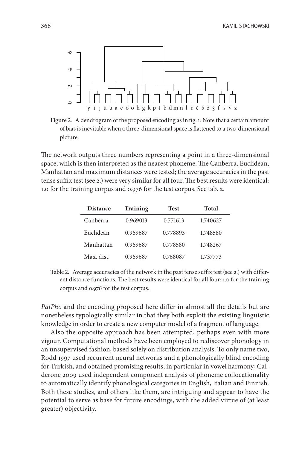

Figure 2. A dendrogram of the proposed encoding as in fig. 1. Note that a certain amount of bias is inevitable when a three-dimensional space is flattened to a two-dimensional picture.

The network outputs three numbers representing a point in a three-dimensional space, which is then interpreted as the nearest phoneme. The Canberra, Euclidean, Manhattan and maximum distances were tested; the average accuracies in the past tense suffix test (see 2.) were very similar for all four. The best results were identical: 1.0 for the training corpus and 0.976 for the test corpus. See tab. 2.

| <b>Distance</b> | <b>Training</b> | <b>Test</b> | Total    |  |
|-----------------|-----------------|-------------|----------|--|
| Canberra        | 0.969013        | 0.771613    | 1.740627 |  |
| Euclidean       | 0.969687        | 0.778893    | 1.748580 |  |
| Manhattan       | 0.969687        | 0.778580    | 1.748267 |  |
| Max. dist.      | 0.969687        | 0.768087    | 1.737773 |  |

Table 2. Average accuracies of the network in the past tense suffix test (see 2.) with different distance functions. The best results were identical for all four: 1.0 for the training corpus and 0.976 for the test corpus.

*PatPho* and the encoding proposed here differ in almost all the details but are nonetheless typologically similar in that they both exploit the existing linguistic knowledge in order to create a new computer model of a fragment of language.

greater) objectivity. 0246 Also the opposite approach has been attempted, perhaps even with more vigour. Computational methods have been employed to rediscover phonology in an unsupervised fashion, based solely on distribution analysis. To only name two, Rodd 1997 used recurrent neural networks and a phonologically blind encoding for Turkish, and obtained promising results, in particular in vowel harmony; Calderone 2009 used independent component analysis of phoneme collocationality to automatically identify phonological categories in English, Italian and Finnish. Both these studies, and others like them, are intriguing and appear to have the potential to serve as base for future encodings, with the added virtue of (at least greater) objectivity.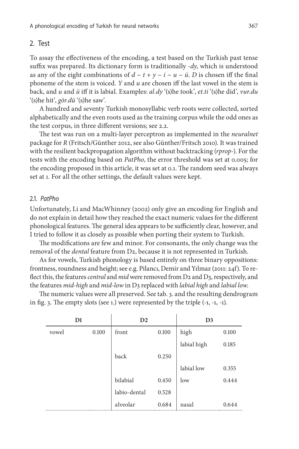#### 2. Test

To assay the effectiveness of the encoding, a test based on the Turkish past tense suffix was prepared. Its dictionary form is traditionally *-dy*, which is understood as any of the eight combinations of  $d \sim t + y \sim i \sim u \sim \ddot{u}$ . *D* is chosen iff the final phoneme of the stem is voiced. *Y* and *u* are chosen iff the last vowel in the stem is back, and *u* and *ü* iff it is labial. Examples: *al.dy* '(s)he took', *et.ti* '(s)he did', *vur.du* '(s)he hit', *gör.dü* '(s)he saw'.

A hundred and seventy Turkish monosyllabic verb roots were collected, sorted alphabetically and the even roots used as the training corpus while the odd ones as the test corpus, in three different versions; see 2.2.

The test was run on a multi-layer perceptron as implemented in the *neuralnet* package for *R* (Fritsch/Günther 2012, see also Günther/Fritsch 2010). It was trained with the resilient backpropagation algorithm without backtracking (*rprop-*). For the tests with the encoding based on *PatPho*, the error threshold was set at 0.005; for the encoding proposed in this article, it was set at 0.1. The random seed was always set at 1. For all the other settings, the default values were kept.

#### 2.1. *PatPho*

Unfortunately, Li and MacWhinney (2002) only give an encoding for English and do not explain in detail how they reached the exact numeric values for the different phonological features. The general idea appears to be sufficiently clear, however, and I tried to follow it as closely as possible when porting their system to Turkish.

The modifications are few and minor. For consonants, the only change was the removal of the *dental* feature from D2, because it is not represented in Turkish.

As for vowels, Turkish phonology is based entirely on three binary oppositions: frontness, roundness and height; see e.g. Pilancı, Demir and Yılmaz (2011: 24f). To reflect this, the features *central* and *mid* were removed from D2 and D3, respectively, and the features *mid-high* and *mid-low* in D3 replaced with *labial high* and *labial low*.

The numeric values were all preserved. See tab. 3. and the resulting dendrogram in fig. 3. The empty slots (see 1.) were represented by the triple (-1, -1, -1).

|       | D1    | D2           |       | D <sub>3</sub> |       |
|-------|-------|--------------|-------|----------------|-------|
| vowel | 0.100 | front        | 0.100 | high           | 0.100 |
|       |       |              |       | labial high    | 0.185 |
|       |       | back         | 0.250 |                |       |
|       |       |              |       | labial low     | 0.355 |
|       |       | bilabial     | 0.450 | low            | 0.444 |
|       |       | labio-dental | 0.528 |                |       |
|       |       | alveolar     | 0.684 | nasal          | 0.644 |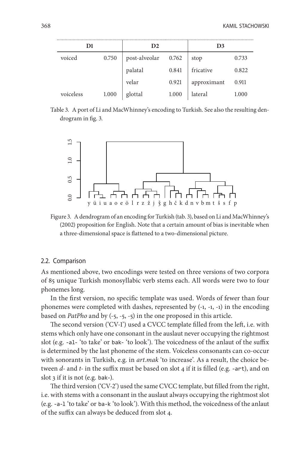| D1        |       | D <sub>2</sub> |       | D3          |       |
|-----------|-------|----------------|-------|-------------|-------|
| voiced    | 0.750 | post-alveolar  | 0.762 | stop        | 0.733 |
|           |       | palatal        | 0.841 | fricative   | 0.822 |
|           |       | velar          | 0.921 | approximant | 0.911 |
| voiceless | 1.000 | glottal        | 1.000 | lateral     | 1.000 |

Table 3. A port of Li and MacWhinney's encoding to Turkish. See also the resulting dendrogram in fig. 3.



Figure 3. A dendrogram of an encoding for Turkish (tab. 3), based on Li and MacWhinney's (2002) proposition for English. Note that a certain amount of bias is inevitable when a three-dimensional space is flattened to a two-dimensional picture.

#### 2.2. Comparison

As mentioned above, two encodings were tested on three versions of two corpora of 85 unique Turkish monosyllabic verb stems each. All words were two to four phonemes long.

In the first version, no specific template was used. Words of fewer than four phonemes were completed with dashes, represented by (-1, -1, -1) in the encoding based on *PatPho* and by (-5, -5, -5) in the one proposed in this article.

The second version ('CV-1') used a CVCC template filled from the left, i.e. with stems which only have one consonant in the auslaut never occupying the rightmost slot (e.g. -al- 'to take' or bak- 'to look'). The voicedness of the anlaut of the suffix is determined by the last phoneme of the stem. Voiceless consonants can co-occur with sonorants in Turkish, e.g. in *art.mak* 'to increase'. As a result, the choice between *d-* and *t-* in the suffix must be based on slot 4 if it is filled (e.g. -art), and on slot 3 if it is not (e.g. bak-).

The third version ('CV-2') used the same CVCC template, but filled from the right, i.e. with stems with a consonant in the auslaut always occupying the rightmost slot (e.g. -a-l 'to take' or ba-k 'to look'). With this method, the voicedness of the anlaut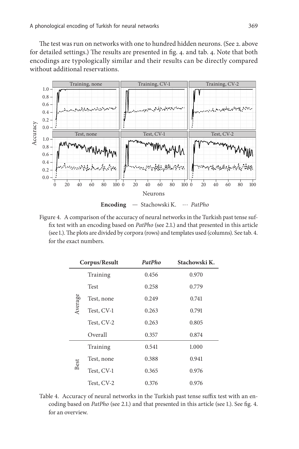The test was run on networks with one to hundred hidden neurons. (See 2. above for detailed settings.) The results are presented in fig. 4. and tab. 4. Note that both encodings are typologically similar and their results can be directly compared without additional reservations.



Figure 4. A comparison of the accuracy of neural networks in the Turkish past tense suffix test with an encoding based on *PatPho* (see 2.1.) and that presented in this article (see 1.). The plots are divided by corpora (rows) and templates used (columns). See tab. 4. for the exact numbers.

| Corpus/Result |            | PatPho | Stachowski K. |
|---------------|------------|--------|---------------|
|               | Training   | 0.456  | 0.970         |
| Average       | Test       | 0.258  | 0.779         |
|               | Test, none | 0.249  | 0.741         |
|               | Test, CV-1 | 0.263  | 0.791         |
|               | Test, CV-2 | 0.263  | 0.805         |
|               | Overall    | 0.357  | 0.874         |
|               | Training   | 0.541  | 1.000         |
| Best          | Test, none | 0.388  | 0.941         |
|               | Test, CV-1 | 0.365  | 0.976         |
|               | Test, CV-2 | 0.376  | 0.976         |

Table 4. Accuracy of neural networks in the Turkish past tense suffix test with an encoding based on *PatPho* (see 2.1.) and that presented in this article (see 1.). See fig. 4. for an overview.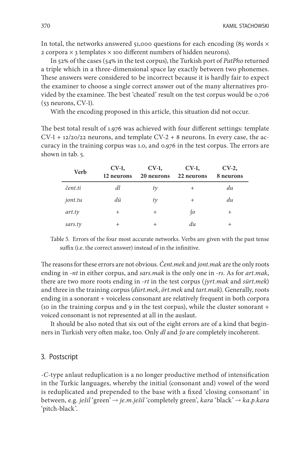In total, the networks answered 51,000 questions for each encoding (85 words  $\times$ 2 corpora  $\times$  3 templates  $\times$  100 different numbers of hidden neurons).

In 52% of the cases (54% in the test corpus), the Turkish port of *PatPho* returned a triple which in a three-dimensional space lay exactly between two phonemes. These answers were considered to be incorrect because it is hardly fair to expect the examiner to choose a single correct answer out of the many alternatives provided by the examinee. The best 'cheated' result on the test corpus would be 0.706  $(53$  neurons, CV-1).

With the encoding proposed in this article, this situation did not occur.

The best total result of 1.976 was achieved with four different settings: template  $CV-1 + \frac{12}{20/22}$  neurons, and template  $CV-2 + 8$  neurons. In every case, the accuracy in the training corpus was 1.0, and 0.976 in the test corpus. The errors are shown in tab. 5.

| <b>Verb</b> | $CV-1$<br>12 neurons | $CV-1$ ,<br>20 neurons | $CV-1$<br>22 neurons | $CV-2$<br>8 neurons |
|-------------|----------------------|------------------------|----------------------|---------------------|
| čent.ti     | dl                   | $t\gamma$              | $^{+}$               | du                  |
| jont.tu     | dü                   | $t\gamma$              | $^{+}$               | du                  |
| art.ty      | $^{+}$               | $^{+}$                 | $\check{3}0$         | $^{+}$              |
| sars.ty     | $^{+}$               | $^+$                   | du                   | $^+$                |

Table 5. Errors of the four most accurate networks. Verbs are given with the past tense suffix (i.e. the correct answer) instead of in the infinitive.

The reasons for these errors are not obvious. *Čent.mek* and *jont.mak* are the only roots ending in *-nt* in either corpus, and *sars.mak* is the only one in *-rs*. As for *art.mak*, there are two more roots ending in *-rt* in the test corpus (*jyrt.mak* and *sürt.mek*) and three in the training corpus (*dürt.mek*, *ört.mek* and *tart.mak*). Generally, roots ending in a sonorant + voiceless consonant are relatively frequent in both corpora (10 in the training corpus and 9 in the test corpus), while the cluster sonorant  $+$ voiced consonant is not represented at all in the auslaut.

It should be also noted that six out of the eight errors are of a kind that beginners in Turkish very often make, too. Only *dl* and *ǯo* are completely incoherent.

#### 3. Postscript

*-C*-type anlaut reduplication is a no longer productive method of intensification in the Turkic languages, whereby the initial (consonant and) vowel of the word is reduplicated and prepended to the base with a fixed 'closing consonant' in between, e.g. *ješil* 'green' → *je.m.ješil* 'completely green', *kara* 'black' → *ka.p.kara* 'pitch-black'.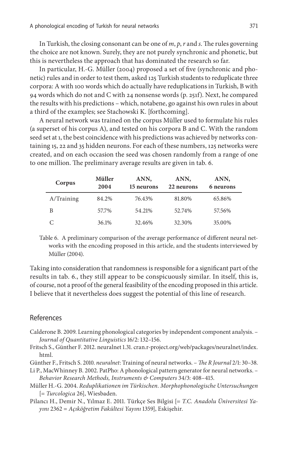In Turkish, the closing consonant can be one of *m*, *p*, *r* and *s*. The rules governing the choice are not known. Surely, they are not purely synchronic and phonetic, but this is nevertheless the approach that has dominated the research so far.

In particular, H.-G. Müller (2004) proposed a set of five (synchronic and phonetic) rules and in order to test them, asked 125 Turkish students to reduplicate three corpora: A with 100 words which do actually have reduplications in Turkish, B with 94 words which do not and C with 24 nonsense words (p. 251f). Next, he compared the results with his predictions – which, notabene, go against his own rules in about a third of the examples; see Stachowski K. [forthcoming].

A neural network was trained on the corpus Müller used to formulate his rules (a superset of his corpus A), and tested on his corpora B and C. With the random seed set at 1, the best coincidence with his predictions was achieved by networks containing 15, 22 and 35 hidden neurons. For each of these numbers, 125 networks were created, and on each occasion the seed was chosen randomly from a range of one to one million. The preliminary average results are given in tab. 6.

| Corpus     | Müller<br>2004 | ANN,<br>15 neurons | ANN,<br>22 neurons | ANN,<br>6 neurons |
|------------|----------------|--------------------|--------------------|-------------------|
| A/Training | 84.2%          | 76.43%             | 81.80%             | 65.86%            |
| В          | 57.7%          | 54.21%             | 52.74%             | 57.56%            |
|            | 36.1%          | 32.46%             | 32.30%             | 35.00%            |

Table 6. A preliminary comparison of the average performance of different neural networks with the encoding proposed in this article, and the students interviewed by Müller (2004).

Taking into consideration that randomness is responsible for a significant part of the results in tab. 6., they still appear to be conspicuously similar. In itself, this is, of course, not a proof of the general feasibility of the encoding proposed in this article. I believe that it nevertheless does suggest the potential of this line of research.

#### References

- Calderone B. 2009. Learning phonological categories by independent component analysis. *Journal of Quantitative Linguistics* 16/2: 132–156.
- Fritsch S., Günther F. 2012. neuralnet 1.31. cran.r-project.org/web/packages/neuralnet/index. html.

Günther F., Fritsch S. 2010. *neuralnet*: Training of neural networks. – *The R Journal* 2/1: 30–38.

- Li P., MacWhinney B. 2002. PatPho: A phonological pattern generator for neural networks. *Behavior Research Methods, Instruments & Computers* 34/3: 408–415.
- Müller H.-G. 2004. *Reduplikationen im Türkischen. Morphophonologische Untersuchungen* [= *Turcologica* 26], Wiesbaden.
- Pilancı H., Demir N., Yılmaz E. 2011. Türkçe Ses Bilgisi [= *T.C. Anadolu Üniversitesi Yayını* 2362 = *Açıköğretim Fakültesi Yayını* 1359], Eskişehir.